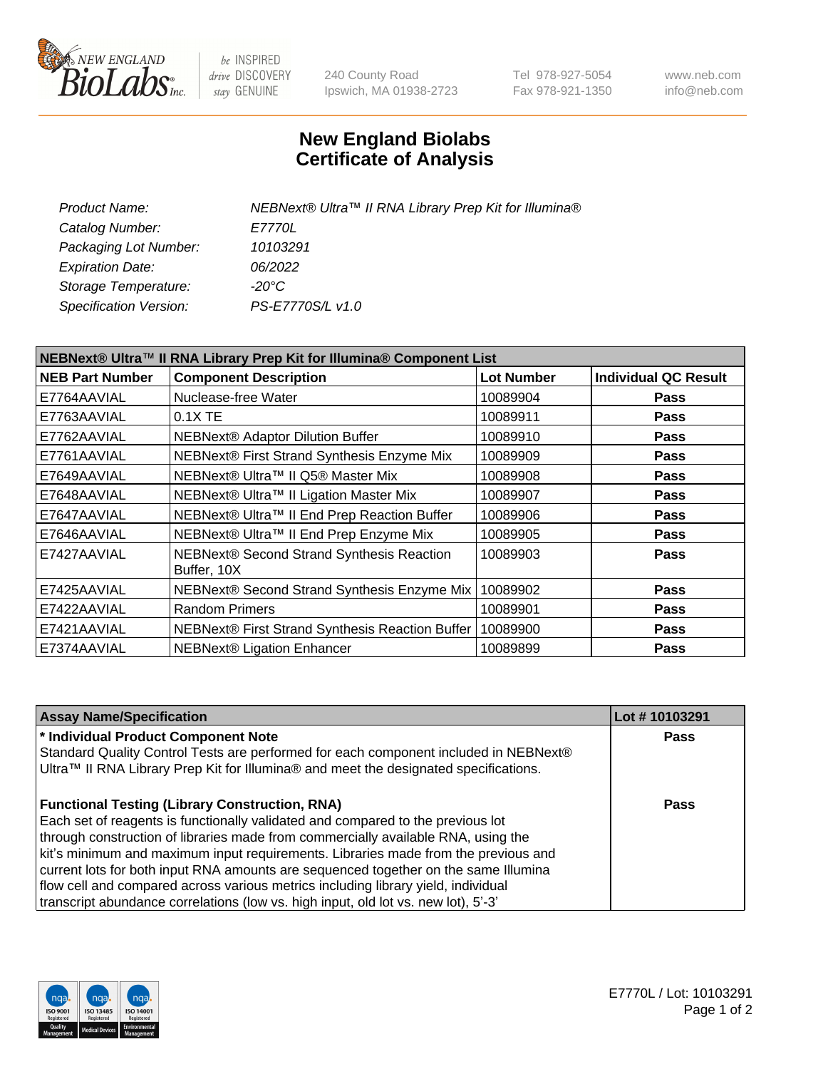

be INSPIRED drive DISCOVERY stay GENUINE

240 County Road Ipswich, MA 01938-2723 Tel 978-927-5054 Fax 978-921-1350 www.neb.com info@neb.com

## **New England Biolabs Certificate of Analysis**

| Product Name:           | NEBNext® Ultra™ II RNA Library Prep Kit for Illumina® |
|-------------------------|-------------------------------------------------------|
| Catalog Number:         | <i>E7770L</i>                                         |
| Packaging Lot Number:   | 10103291                                              |
| <b>Expiration Date:</b> | 06/2022                                               |
| Storage Temperature:    | -20°C                                                 |
| Specification Version:  | PS-E7770S/L v1.0                                      |
|                         |                                                       |

| NEBNext® Ultra™ II RNA Library Prep Kit for Illumina® Component List |                                                          |                   |                             |  |
|----------------------------------------------------------------------|----------------------------------------------------------|-------------------|-----------------------------|--|
| <b>NEB Part Number</b>                                               | <b>Component Description</b>                             | <b>Lot Number</b> | <b>Individual QC Result</b> |  |
| E7764AAVIAL                                                          | Nuclease-free Water                                      | 10089904          | <b>Pass</b>                 |  |
| E7763AAVIAL                                                          | 0.1X TE                                                  | 10089911          | <b>Pass</b>                 |  |
| E7762AAVIAL                                                          | NEBNext® Adaptor Dilution Buffer                         | 10089910          | <b>Pass</b>                 |  |
| E7761AAVIAL                                                          | NEBNext® First Strand Synthesis Enzyme Mix               | 10089909          | <b>Pass</b>                 |  |
| E7649AAVIAL                                                          | NEBNext® Ultra™ II Q5® Master Mix                        | 10089908          | <b>Pass</b>                 |  |
| E7648AAVIAL                                                          | NEBNext® Ultra™ II Ligation Master Mix                   | 10089907          | <b>Pass</b>                 |  |
| E7647AAVIAL                                                          | NEBNext® Ultra™ II End Prep Reaction Buffer              | 10089906          | <b>Pass</b>                 |  |
| E7646AAVIAL                                                          | NEBNext® Ultra™ II End Prep Enzyme Mix                   | 10089905          | <b>Pass</b>                 |  |
| E7427AAVIAL                                                          | NEBNext® Second Strand Synthesis Reaction<br>Buffer, 10X | 10089903          | <b>Pass</b>                 |  |
| E7425AAVIAL                                                          | NEBNext® Second Strand Synthesis Enzyme Mix              | 10089902          | <b>Pass</b>                 |  |
| E7422AAVIAL                                                          | <b>Random Primers</b>                                    | 10089901          | <b>Pass</b>                 |  |
| E7421AAVIAL                                                          | NEBNext® First Strand Synthesis Reaction Buffer          | 10089900          | <b>Pass</b>                 |  |
| E7374AAVIAL                                                          | <b>NEBNext® Ligation Enhancer</b>                        | 10089899          | <b>Pass</b>                 |  |

| <b>Assay Name/Specification</b>                                                                                                                                              | Lot #10103291 |
|------------------------------------------------------------------------------------------------------------------------------------------------------------------------------|---------------|
| * Individual Product Component Note                                                                                                                                          | <b>Pass</b>   |
| Standard Quality Control Tests are performed for each component included in NEBNext®<br>Ultra™ II RNA Library Prep Kit for Illumina® and meet the designated specifications. |               |
| <b>Functional Testing (Library Construction, RNA)</b>                                                                                                                        | Pass          |
| Each set of reagents is functionally validated and compared to the previous lot                                                                                              |               |
| through construction of libraries made from commercially available RNA, using the                                                                                            |               |
| kit's minimum and maximum input requirements. Libraries made from the previous and                                                                                           |               |
| current lots for both input RNA amounts are sequenced together on the same Illumina                                                                                          |               |
| flow cell and compared across various metrics including library yield, individual                                                                                            |               |
| transcript abundance correlations (low vs. high input, old lot vs. new lot), 5'-3'                                                                                           |               |